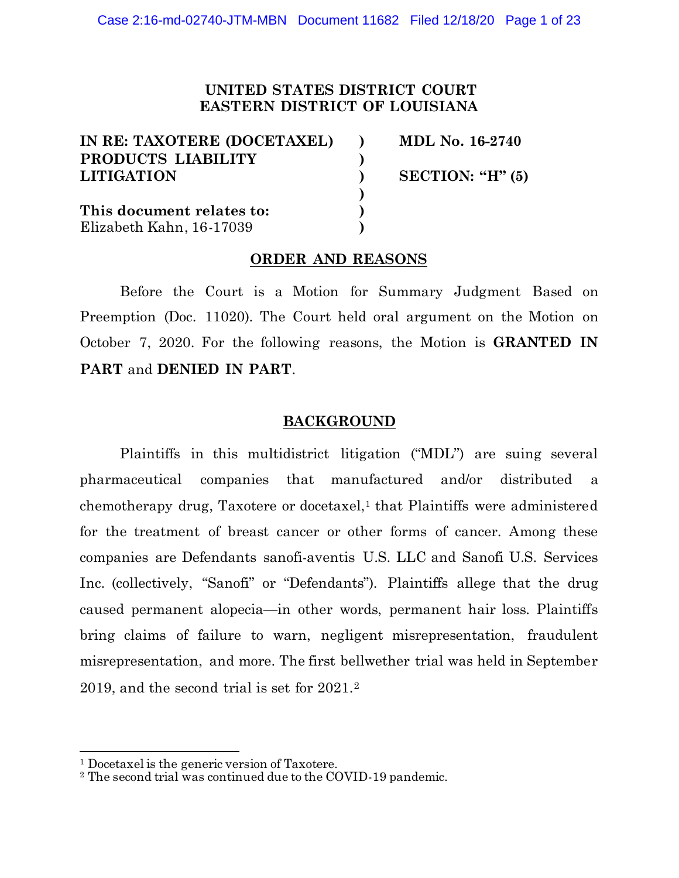# **UNITED STATES DISTRICT COURT EASTERN DISTRICT OF LOUISIANA**

| IN RE: TAXOTERE (DOCETAXEL) | MDL No. 16-2740      |
|-----------------------------|----------------------|
| PRODUCTS LIABILITY          |                      |
| <b>LITIGATION</b>           | SECTION: " $H$ " (5) |
|                             |                      |
| This document relates to:   |                      |
| Elizabeth Kahn, 16-17039    |                      |

### **ORDER AND REASONS**

Before the Court is a Motion for Summary Judgment Based on Preemption (Doc. 11020). The Court held oral argument on the Motion on October 7, 2020. For the following reasons, the Motion is **GRANTED IN PART** and **DENIED IN PART**.

### **BACKGROUND**

Plaintiffs in this multidistrict litigation ("MDL") are suing several pharmaceutical companies that manufactured and/or distributed a chemotherapy drug, Taxotere or docetaxel,<sup>1</sup> that Plaintiffs were administered for the treatment of breast cancer or other forms of cancer. Among these companies are Defendants sanofi-aventis U.S. LLC and Sanofi U.S. Services Inc. (collectively, "Sanofi" or "Defendants"). Plaintiffs allege that the drug caused permanent alopecia—in other words, permanent hair loss. Plaintiffs bring claims of failure to warn, negligent misrepresentation, fraudulent misrepresentation, and more. The first bellwether trial was held in September 2019, and the second trial is set for 2021.2

<sup>1</sup> Docetaxel is the generic version of Taxotere.

<sup>2</sup> The second trial was continued due to the COVID-19 pandemic.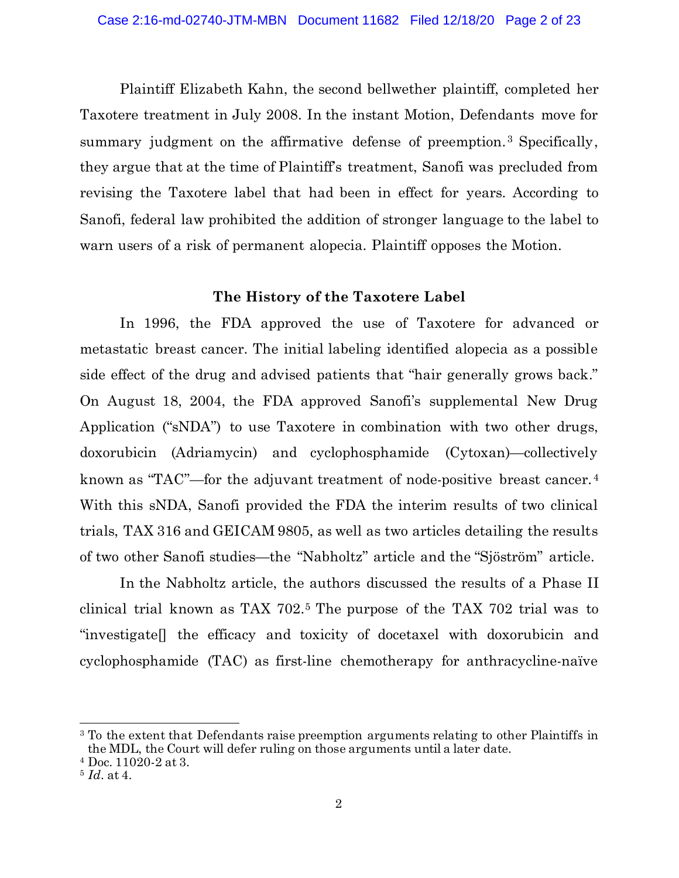Plaintiff Elizabeth Kahn, the second bellwether plaintiff, completed her Taxotere treatment in July 2008. In the instant Motion, Defendants move for summary judgment on the affirmative defense of preemption.<sup>3</sup> Specifically, they argue that at the time of Plaintiff's treatment, Sanofi was precluded from revising the Taxotere label that had been in effect for years. According to Sanofi, federal law prohibited the addition of stronger language to the label to warn users of a risk of permanent alopecia. Plaintiff opposes the Motion.

#### **The History of the Taxotere Label**

In 1996, the FDA approved the use of Taxotere for advanced or metastatic breast cancer. The initial labeling identified alopecia as a possible side effect of the drug and advised patients that "hair generally grows back." On August 18, 2004, the FDA approved Sanofi's supplemental New Drug Application ("sNDA") to use Taxotere in combination with two other drugs, doxorubicin (Adriamycin) and cyclophosphamide (Cytoxan)—collectively known as "TAC"—for the adjuvant treatment of node-positive breast cancer.<sup>4</sup> With this sNDA, Sanofi provided the FDA the interim results of two clinical trials, TAX 316 and GEICAM 9805, as well as two articles detailing the results of two other Sanofi studies—the "Nabholtz" article and the "Sjöström" article.

In the Nabholtz article, the authors discussed the results of a Phase II clinical trial known as TAX 702.5 The purpose of the TAX 702 trial was to "investigate[] the efficacy and toxicity of docetaxel with doxorubicin and cyclophosphamide (TAC) as first-line chemotherapy for anthracycline-naïve

<sup>&</sup>lt;sup>3</sup> To the extent that Defendants raise preemption arguments relating to other Plaintiffs in the MDL, the Court will defer ruling on those arguments until a later date.

<sup>4</sup> Doc. 11020-2 at 3.

<sup>5</sup> *Id.* at 4.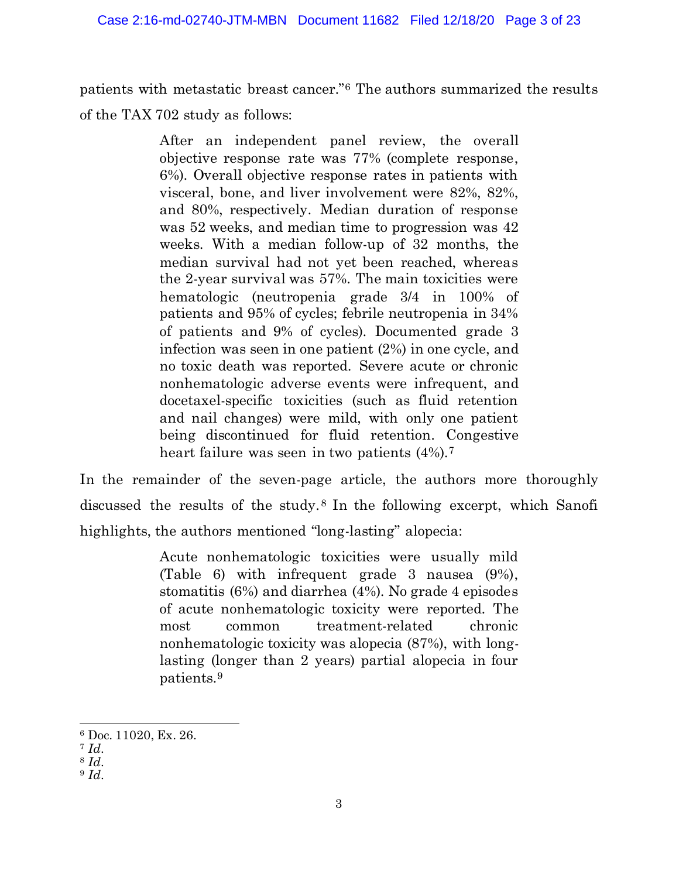patients with metastatic breast cancer."6 The authors summarized the results of the TAX 702 study as follows:

> After an independent panel review, the overall objective response rate was 77% (complete response, 6%). Overall objective response rates in patients with visceral, bone, and liver involvement were 82%, 82%, and 80%, respectively. Median duration of response was 52 weeks, and median time to progression was 42 weeks. With a median follow-up of 32 months, the median survival had not yet been reached, whereas the 2-year survival was 57%. The main toxicities were hematologic (neutropenia grade 3/4 in 100% of patients and 95% of cycles; febrile neutropenia in 34% of patients and 9% of cycles). Documented grade 3 infection was seen in one patient (2%) in one cycle, and no toxic death was reported. Severe acute or chronic nonhematologic adverse events were infrequent, and docetaxel-specific toxicities (such as fluid retention and nail changes) were mild, with only one patient being discontinued for fluid retention. Congestive heart failure was seen in two patients  $(4\%)$ .<sup>7</sup>

In the remainder of the seven-page article, the authors more thoroughly discussed the results of the study. <sup>8</sup> In the following excerpt, which Sanofi highlights, the authors mentioned "long-lasting" alopecia:

> Acute nonhematologic toxicities were usually mild (Table 6) with infrequent grade 3 nausea (9%), stomatitis (6%) and diarrhea (4%). No grade 4 episodes of acute nonhematologic toxicity were reported. The most common treatment-related chronic nonhematologic toxicity was alopecia (87%), with longlasting (longer than 2 years) partial alopecia in four patients.9

<sup>6</sup> Doc. 11020, Ex. 26.

<sup>7</sup> *Id.*

<sup>8</sup> *Id.*

<sup>9</sup> *Id.*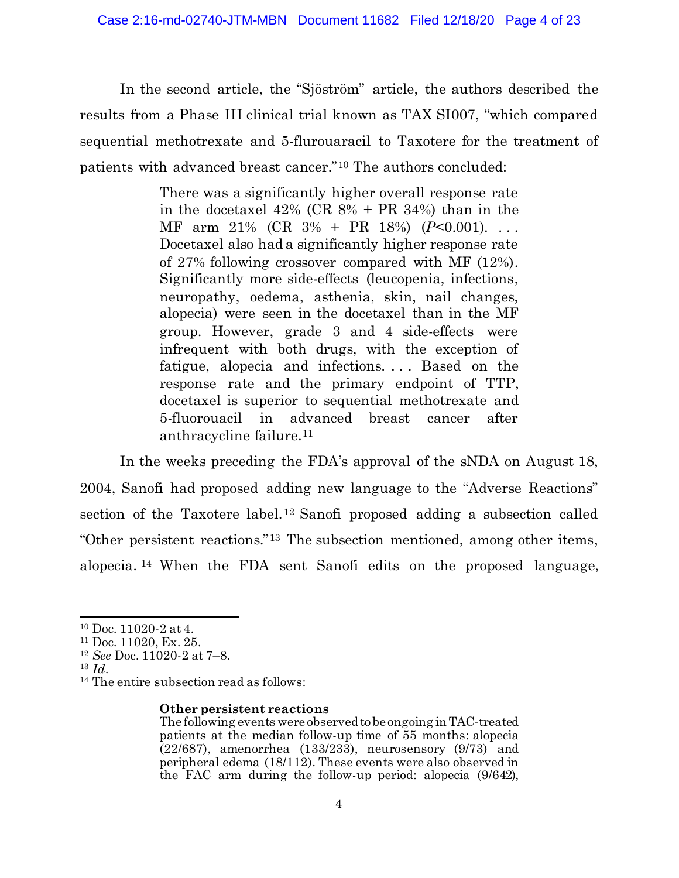In the second article, the "Sjöström" article, the authors described the results from a Phase III clinical trial known as TAX SI007, "which compared sequential methotrexate and 5-flurouaracil to Taxotere for the treatment of patients with advanced breast cancer."10 The authors concluded:

> There was a significantly higher overall response rate in the docetaxel 42% (CR 8% + PR 34%) than in the MF arm 21% (CR 3% + PR 18%) (*P*<0.001). . . . Docetaxel also had a significantly higher response rate of 27% following crossover compared with MF (12%). Significantly more side-effects (leucopenia, infections, neuropathy, oedema, asthenia, skin, nail changes, alopecia) were seen in the docetaxel than in the MF group. However, grade 3 and 4 side-effects were infrequent with both drugs, with the exception of fatigue, alopecia and infections. . . . Based on the response rate and the primary endpoint of TTP, docetaxel is superior to sequential methotrexate and 5-fluorouacil in advanced breast cancer after anthracycline failure.11

In the weeks preceding the FDA's approval of the sNDA on August 18, 2004, Sanofi had proposed adding new language to the "Adverse Reactions" section of the Taxotere label.12 Sanofi proposed adding a subsection called "Other persistent reactions."13 The subsection mentioned, among other items, alopecia. <sup>14</sup> When the FDA sent Sanofi edits on the proposed language,

#### **Other persistent reactions**

<sup>10</sup> Doc. 11020-2 at 4.

<sup>11</sup> Doc. 11020, Ex. 25.

<sup>12</sup> *See* Doc. 11020-2 at 7–8.

<sup>13</sup> *Id.*

<sup>14</sup> The entire subsection read as follows:

The following events were observed to be ongoing in TAC-treated patients at the median follow-up time of 55 months: alopecia (22/687), amenorrhea (133/233), neurosensory (9/73) and peripheral edema (18/112). These events were also observed in the FAC arm during the follow-up period: alopecia (9/642),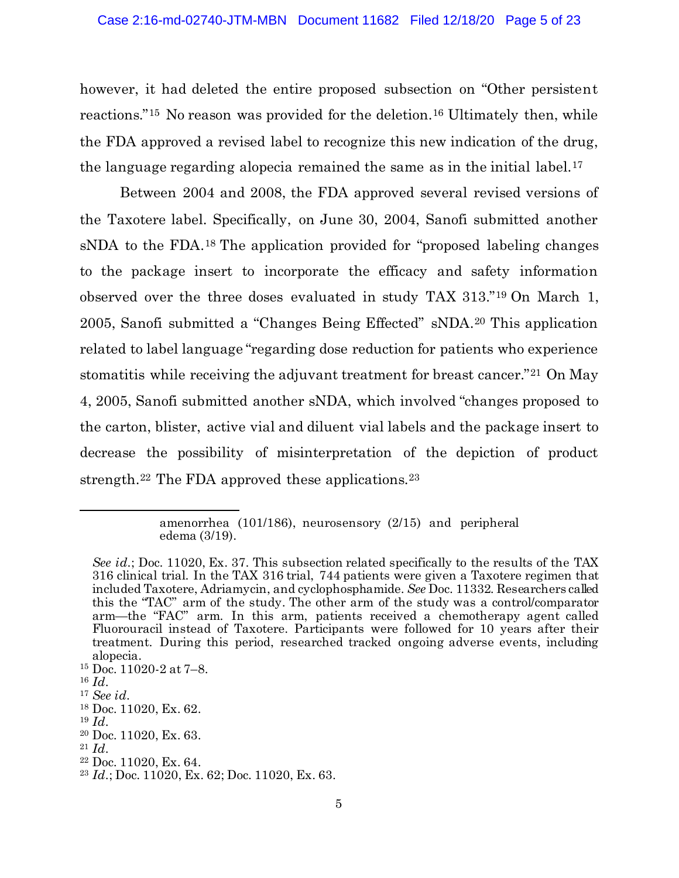however, it had deleted the entire proposed subsection on "Other persistent reactions."15 No reason was provided for the deletion.16 Ultimately then, while the FDA approved a revised label to recognize this new indication of the drug, the language regarding alopecia remained the same as in the initial label.17

Between 2004 and 2008, the FDA approved several revised versions of the Taxotere label. Specifically, on June 30, 2004, Sanofi submitted another sNDA to the FDA.18 The application provided for "proposed labeling changes to the package insert to incorporate the efficacy and safety information observed over the three doses evaluated in study TAX 313."19 On March 1, 2005, Sanofi submitted a "Changes Being Effected" sNDA.20 This application related to label language "regarding dose reduction for patients who experience stomatitis while receiving the adjuvant treatment for breast cancer."21 On May 4, 2005, Sanofi submitted another sNDA, which involved "changes proposed to the carton, blister, active vial and diluent vial labels and the package insert to decrease the possibility of misinterpretation of the depiction of product strength.<sup>22</sup> The FDA approved these applications.<sup>23</sup>

amenorrhea (101/186), neurosensory (2/15) and peripheral edema (3/19).

*See id.*; Doc. 11020, Ex. 37. This subsection related specifically to the results of the TAX 316 clinical trial. In the TAX 316 trial, 744 patients were given a Taxotere regimen that included Taxotere, Adriamycin, and cyclophosphamide. *See* Doc. 11332. Researchers called this the "TAC" arm of the study. The other arm of the study was a control/comparator arm—the "FAC" arm. In this arm, patients received a chemotherapy agent called Fluorouracil instead of Taxotere. Participants were followed for 10 years after their treatment. During this period, researched tracked ongoing adverse events, including alopecia.

<sup>15</sup> Doc. 11020-2 at 7–8.

<sup>16</sup> *Id.*

<sup>17</sup> *See id.*

<sup>18</sup> Doc. 11020, Ex. 62.

<sup>19</sup> *Id.*

<sup>20</sup> Doc. 11020, Ex. 63.

<sup>21</sup> *Id.*

<sup>22</sup> Doc. 11020, Ex. 64.

<sup>23</sup> *Id.*; Doc. 11020, Ex. 62; Doc. 11020, Ex. 63.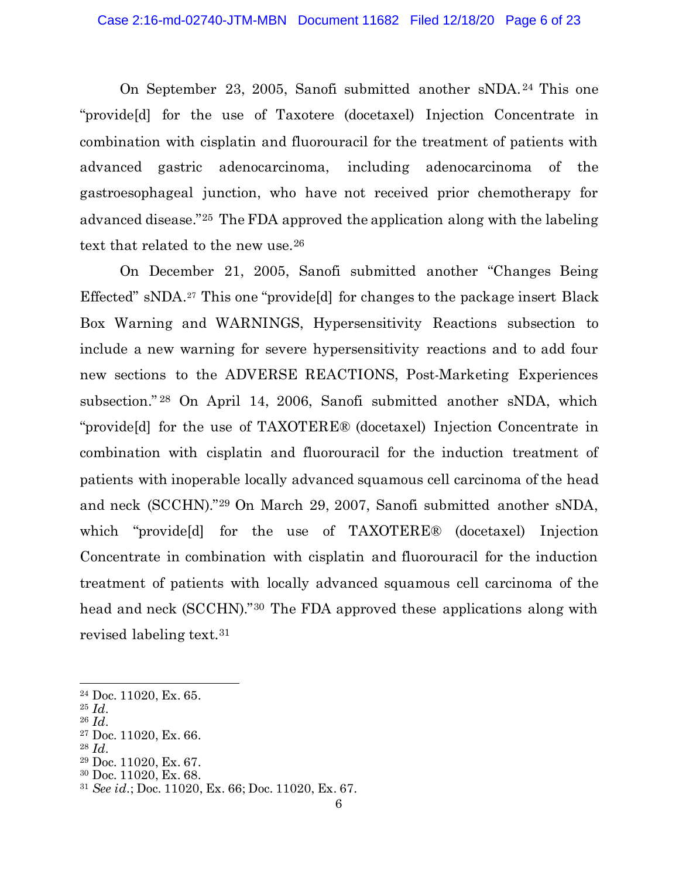On September 23, 2005, Sanofi submitted another sNDA. <sup>24</sup> This one "provide[d] for the use of Taxotere (docetaxel) Injection Concentrate in combination with cisplatin and fluorouracil for the treatment of patients with advanced gastric adenocarcinoma, including adenocarcinoma of the gastroesophageal junction, who have not received prior chemotherapy for advanced disease."25 The FDA approved the application along with the labeling text that related to the new use.<sup>26</sup>

On December 21, 2005, Sanofi submitted another "Changes Being Effected" sNDA.27 This one "provide[d] for changes to the package insert Black Box Warning and WARNINGS, Hypersensitivity Reactions subsection to include a new warning for severe hypersensitivity reactions and to add four new sections to the ADVERSE REACTIONS, Post-Marketing Experiences subsection." <sup>28</sup> On April 14, 2006, Sanofi submitted another sNDA, which "provide[d] for the use of TAXOTERE® (docetaxel) Injection Concentrate in combination with cisplatin and fluorouracil for the induction treatment of patients with inoperable locally advanced squamous cell carcinoma of the head and neck (SCCHN)."29 On March 29, 2007, Sanofi submitted another sNDA, which "provide[d] for the use of TAXOTERE® (docetaxel) Injection Concentrate in combination with cisplatin and fluorouracil for the induction treatment of patients with locally advanced squamous cell carcinoma of the head and neck (SCCHN)."30 The FDA approved these applications along with revised labeling text.31

<sup>28</sup> *Id.*

<sup>30</sup> Doc. 11020, Ex. 68.

<sup>24</sup> Doc. 11020, Ex. 65.

<sup>25</sup> *Id.* <sup>26</sup> *Id.*

<sup>27</sup> Doc. 11020, Ex. 66.

<sup>29</sup> Doc. 11020, Ex. 67.

<sup>31</sup> *See id.*; Doc. 11020, Ex. 66; Doc. 11020, Ex. 67.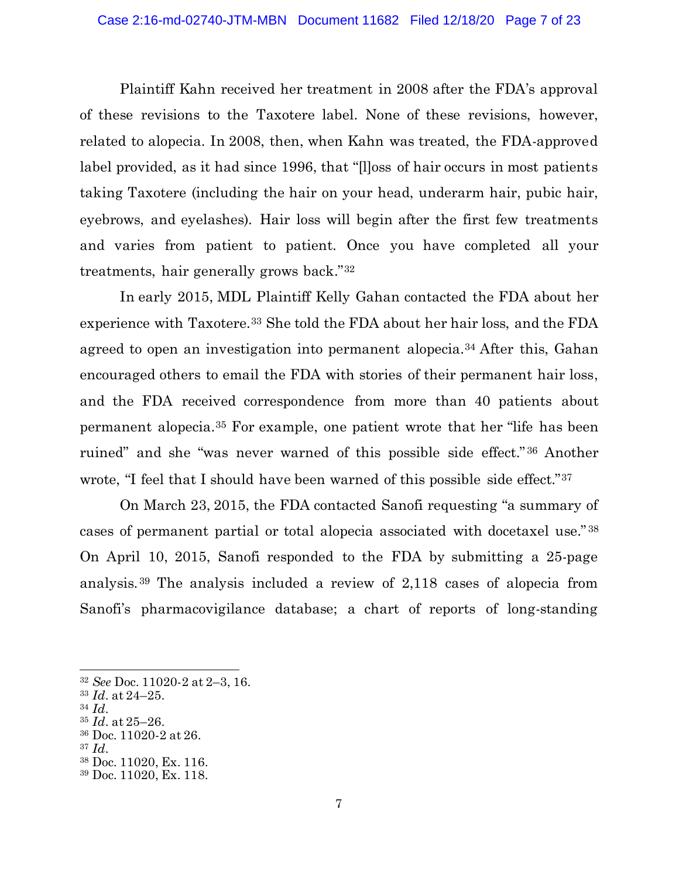Plaintiff Kahn received her treatment in 2008 after the FDA's approval of these revisions to the Taxotere label. None of these revisions, however, related to alopecia. In 2008, then, when Kahn was treated, the FDA-approved label provided, as it had since 1996, that "[l]oss of hair occurs in most patients taking Taxotere (including the hair on your head, underarm hair, pubic hair, eyebrows, and eyelashes). Hair loss will begin after the first few treatments and varies from patient to patient. Once you have completed all your treatments, hair generally grows back."32

In early 2015, MDL Plaintiff Kelly Gahan contacted the FDA about her experience with Taxotere.33 She told the FDA about her hair loss, and the FDA agreed to open an investigation into permanent alopecia.34 After this, Gahan encouraged others to email the FDA with stories of their permanent hair loss, and the FDA received correspondence from more than 40 patients about permanent alopecia.35 For example, one patient wrote that her "life has been ruined" and she "was never warned of this possible side effect." <sup>36</sup> Another wrote, "I feel that I should have been warned of this possible side effect."37

On March 23, 2015, the FDA contacted Sanofi requesting "a summary of cases of permanent partial or total alopecia associated with docetaxel use." <sup>38</sup> On April 10, 2015, Sanofi responded to the FDA by submitting a 25-page analysis. <sup>39</sup> The analysis included a review of 2,118 cases of alopecia from Sanofi's pharmacovigilance database; a chart of reports of long-standing

<sup>34</sup> *Id.*

<sup>32</sup> *See* Doc. 11020-2 at 2–3, 16.

<sup>33</sup> *Id.* at 24–25.

<sup>35</sup> *Id.* at 25–26.

<sup>36</sup> Doc. 11020-2 at 26.

<sup>37</sup> *Id.*

<sup>38</sup> Doc. 11020, Ex. 116.

<sup>39</sup> Doc. 11020, Ex. 118.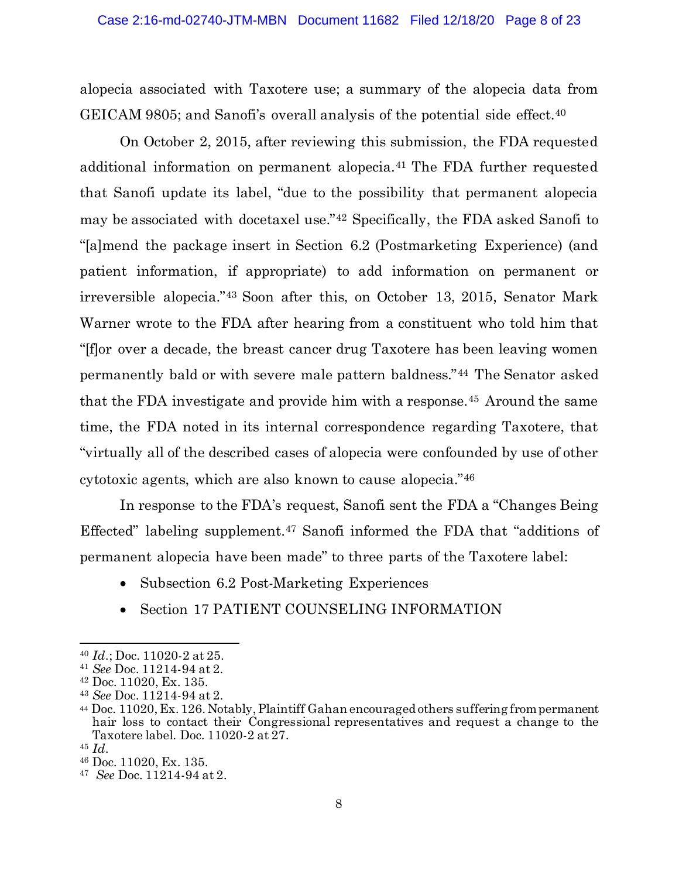alopecia associated with Taxotere use; a summary of the alopecia data from GEICAM 9805; and Sanofi's overall analysis of the potential side effect.<sup>40</sup>

On October 2, 2015, after reviewing this submission, the FDA requested additional information on permanent alopecia.41 The FDA further requested that Sanofi update its label, "due to the possibility that permanent alopecia may be associated with docetaxel use."42 Specifically, the FDA asked Sanofi to "[a]mend the package insert in Section 6.2 (Postmarketing Experience) (and patient information, if appropriate) to add information on permanent or irreversible alopecia."43 Soon after this, on October 13, 2015, Senator Mark Warner wrote to the FDA after hearing from a constituent who told him that "[f]or over a decade, the breast cancer drug Taxotere has been leaving women permanently bald or with severe male pattern baldness."44 The Senator asked that the FDA investigate and provide him with a response.45 Around the same time, the FDA noted in its internal correspondence regarding Taxotere, that "virtually all of the described cases of alopecia were confounded by use of other cytotoxic agents, which are also known to cause alopecia."46

In response to the FDA's request, Sanofi sent the FDA a "Changes Being Effected" labeling supplement.47 Sanofi informed the FDA that "additions of permanent alopecia have been made" to three parts of the Taxotere label:

- Subsection 6.2 Post-Marketing Experiences
- Section 17 PATIENT COUNSELING INFORMATION

<sup>40</sup> *Id.*; Doc. 11020-2 at 25.

<sup>41</sup> *See* Doc. 11214-94 at 2.

<sup>42</sup> Doc. 11020, Ex. 135.

<sup>43</sup> *See* Doc. 11214-94 at 2.

<sup>44</sup> Doc. 11020, Ex. 126. Notably, Plaintiff Gahan encouraged others suffering from permanent hair loss to contact their Congressional representatives and request a change to the Taxotere label. Doc. 11020-2 at 27.

<sup>45</sup> *Id.*

<sup>46</sup> Doc. 11020, Ex. 135.

<sup>47</sup> *See* Doc. 11214-94 at 2.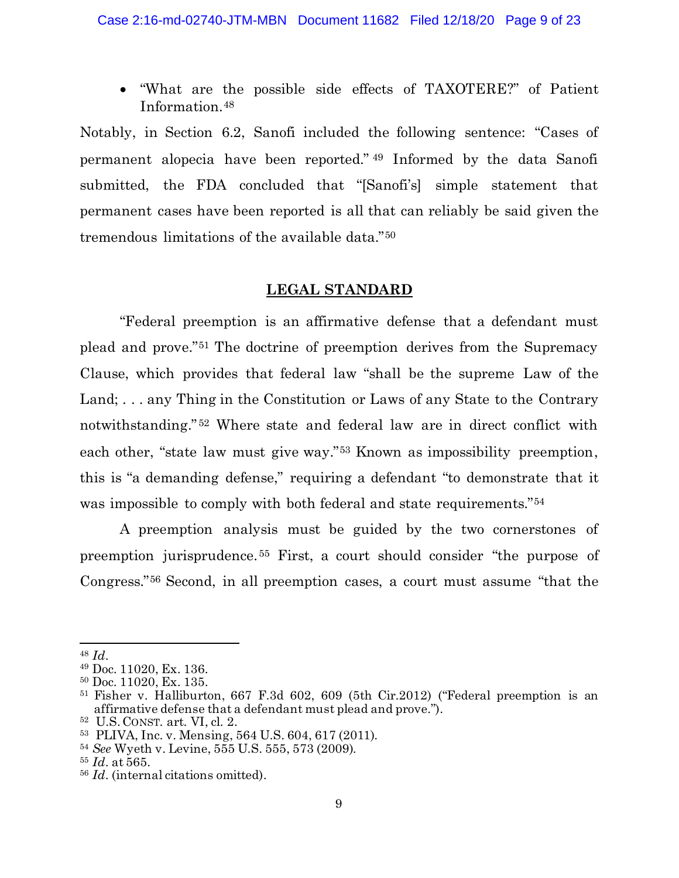• "What are the possible side effects of TAXOTERE?" of Patient Information.48

Notably, in Section 6.2, Sanofi included the following sentence: "Cases of permanent alopecia have been reported." <sup>49</sup> Informed by the data Sanofi submitted, the FDA concluded that "[Sanofi's] simple statement that permanent cases have been reported is all that can reliably be said given the tremendous limitations of the available data."50

### **LEGAL STANDARD**

"Federal preemption is an affirmative defense that a defendant must plead and prove."51 The doctrine of preemption derives from the Supremacy Clause, which provides that federal law "shall be the supreme Law of the Land; . . . any Thing in the Constitution or Laws of any State to the Contrary notwithstanding." <sup>52</sup> Where state and federal law are in direct conflict with each other, "state law must give way."53 Known as impossibility preemption, this is "a demanding defense," requiring a defendant "to demonstrate that it was impossible to comply with both federal and state requirements."54

A preemption analysis must be guided by the two cornerstones of preemption jurisprudence. <sup>55</sup> First, a court should consider "the purpose of Congress."56 Second, in all preemption cases, a court must assume "that the

<sup>48</sup> *Id.*

<sup>49</sup> Doc. 11020, Ex. 136.

<sup>50</sup> Doc. 11020, Ex. 135.

<sup>51</sup> Fisher v. Halliburton, 667 F.3d 602, 609 (5th Cir.2012) ("Federal preemption is an affirmative defense that a defendant must plead and prove.").

<sup>52</sup> U.S. CONST. art. VI, cl. 2.

<sup>53</sup> PLIVA, Inc. v. Mensing, 564 U.S. 604, 617 (2011).

<sup>54</sup> *See* Wyeth v. Levine, 555 U.S. 555, 573 (2009).

<sup>55</sup> *Id.* at 565.

<sup>56</sup> *Id.* (internal citations omitted).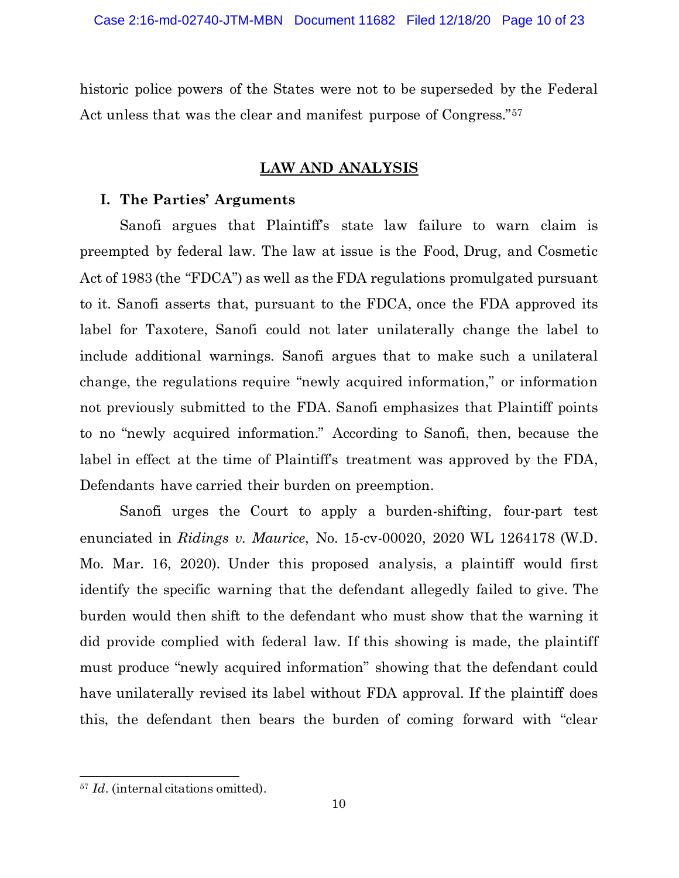historic police powers of the States were not to be superseded by the Federal Act unless that was the clear and manifest purpose of Congress."57

## **LAW AND ANALYSIS**

### **I. The Parties' Arguments**

Sanofi argues that Plaintiff's state law failure to warn claim is preempted by federal law. The law at issue is the Food, Drug, and Cosmetic Act of 1983 (the "FDCA") as well as the FDA regulations promulgated pursuant to it. Sanofi asserts that, pursuant to the FDCA, once the FDA approved its label for Taxotere, Sanofi could not later unilaterally change the label to include additional warnings. Sanofi argues that to make such a unilateral change, the regulations require "newly acquired information," or information not previously submitted to the FDA. Sanofi emphasizes that Plaintiff points to no "newly acquired information." According to Sanofi, then, because the label in effect at the time of Plaintiff's treatment was approved by the FDA, Defendants have carried their burden on preemption.

Sanofi urges the Court to apply a burden-shifting, four-part test enunciated in *Ridings v. Maurice*, No. 15-cv-00020, 2020 WL 1264178 (W.D. Mo. Mar. 16, 2020). Under this proposed analysis, a plaintiff would first identify the specific warning that the defendant allegedly failed to give. The burden would then shift to the defendant who must show that the warning it did provide complied with federal law. If this showing is made, the plaintiff must produce "newly acquired information" showing that the defendant could have unilaterally revised its label without FDA approval. If the plaintiff does this, the defendant then bears the burden of coming forward with "clear

<sup>&</sup>lt;sup>57</sup> *Id.* (internal citations omitted).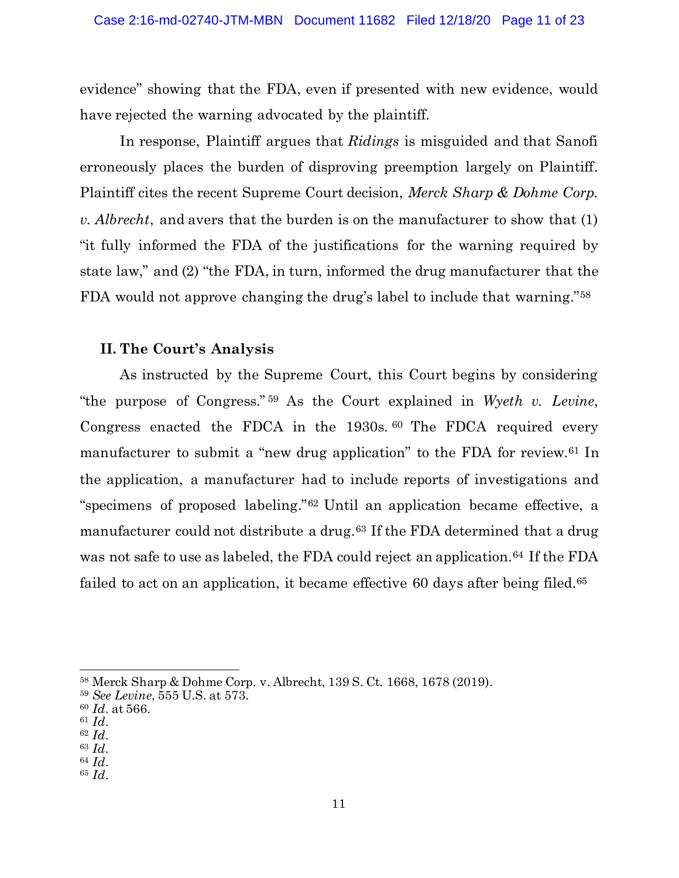evidence" showing that the FDA, even if presented with new evidence, would have rejected the warning advocated by the plaintiff.

In response, Plaintiff argues that *Ridings* is misguided and that Sanofi erroneously places the burden of disproving preemption largely on Plaintiff. Plaintiff cites the recent Supreme Court decision, *Merck Sharp & Dohme Corp. v. Albrecht*, and avers that the burden is on the manufacturer to show that (1) "it fully informed the FDA of the justifications for the warning required by state law," and (2) "the FDA, in turn, informed the drug manufacturer that the FDA would not approve changing the drug's label to include that warning."58

## **II. The Court's Analysis**

As instructed by the Supreme Court, this Court begins by considering "the purpose of Congress." <sup>59</sup> As the Court explained in *Wyeth v. Levine*, Congress enacted the FDCA in the 1930s. <sup>60</sup> The FDCA required every manufacturer to submit a "new drug application" to the FDA for review.<sup>61</sup> In the application, a manufacturer had to include reports of investigations and "specimens of proposed labeling."62 Until an application became effective, a manufacturer could not distribute a drug.<sup>63</sup> If the FDA determined that a drug was not safe to use as labeled, the FDA could reject an application.<sup>64</sup> If the FDA failed to act on an application, it became effective 60 days after being filed.<sup>65</sup>

<sup>58</sup> Merck Sharp & Dohme Corp. v. Albrecht, 139 S. Ct. 1668, 1678 (2019).

<sup>59</sup> *See Levine*, 555 U.S. at 573.

<sup>60</sup> *Id.* at 566.

<sup>61</sup> *Id.*

<sup>62</sup> *Id.*

<sup>63</sup> *Id.*

<sup>64</sup> *Id.*

<sup>65</sup> *Id.*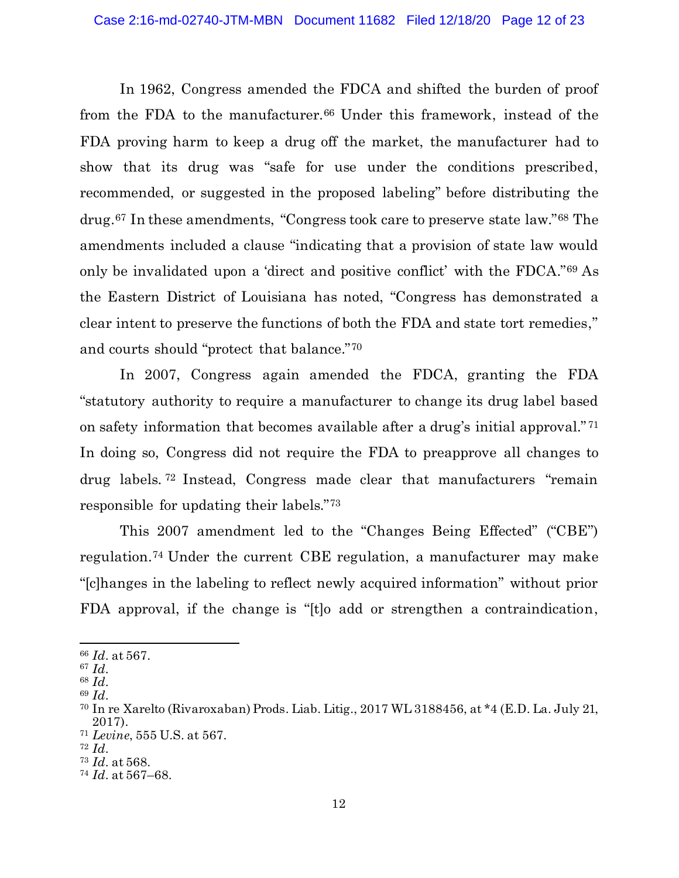In 1962, Congress amended the FDCA and shifted the burden of proof from the FDA to the manufacturer.<sup>66</sup> Under this framework, instead of the FDA proving harm to keep a drug off the market, the manufacturer had to show that its drug was "safe for use under the conditions prescribed, recommended, or suggested in the proposed labeling" before distributing the drug.67 In these amendments, "Congress took care to preserve state law."68 The amendments included a clause "indicating that a provision of state law would only be invalidated upon a 'direct and positive conflict' with the FDCA."69 As the Eastern District of Louisiana has noted, "Congress has demonstrated a clear intent to preserve the functions of both the FDA and state tort remedies," and courts should "protect that balance."70

In 2007, Congress again amended the FDCA, granting the FDA "statutory authority to require a manufacturer to change its drug label based on safety information that becomes available after a drug's initial approval." <sup>71</sup> In doing so, Congress did not require the FDA to preapprove all changes to drug labels. <sup>72</sup> Instead, Congress made clear that manufacturers "remain responsible for updating their labels."73

This 2007 amendment led to the "Changes Being Effected" ("CBE") regulation.74 Under the current CBE regulation, a manufacturer may make "[c]hanges in the labeling to reflect newly acquired information" without prior FDA approval, if the change is "[t]o add or strengthen a contraindication,

<sup>66</sup> *Id.* at 567.

<sup>67</sup> *Id.*

<sup>68</sup> *Id.*

<sup>69</sup> *Id.*

<sup>70</sup> In re Xarelto (Rivaroxaban) Prods. Liab. Litig., 2017 WL 3188456, at \*4 (E.D. La. July 21, 2017).

<sup>71</sup> *Levine*, 555 U.S. at 567.

<sup>72</sup> *Id.*

<sup>73</sup> *Id.* at 568.

<sup>74</sup> *Id.* at 567–68.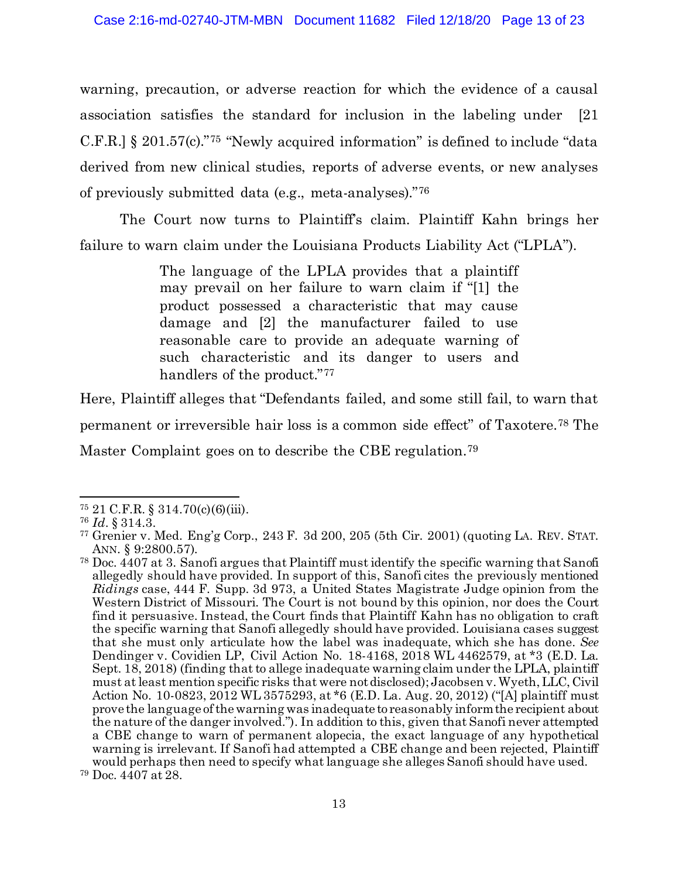warning, precaution, or adverse reaction for which the evidence of a causal association satisfies the standard for inclusion in the labeling under [21 C.F.R.] § 201.57(c)."75 "Newly acquired information" is defined to include "data derived from new clinical studies, reports of adverse events, or new analyses of previously submitted data (e.g., meta-analyses)."76

The Court now turns to Plaintiff's claim. Plaintiff Kahn brings her failure to warn claim under the Louisiana Products Liability Act ("LPLA").

> The language of the LPLA provides that a plaintiff may prevail on her failure to warn claim if "[1] the product possessed a characteristic that may cause damage and [2] the manufacturer failed to use reasonable care to provide an adequate warning of such characteristic and its danger to users and handlers of the product."<sup>77</sup>

Here, Plaintiff alleges that "Defendants failed, and some still fail, to warn that permanent or irreversible hair loss is a common side effect" of Taxotere.78 The Master Complaint goes on to describe the CBE regulation.79

<sup>75</sup> 21 C.F.R. § 314.70(c)(6)(iii).

<sup>76</sup> *Id.* § 314.3.

<sup>77</sup> Grenier v. Med. Eng'g Corp., 243 F. 3d 200, 205 (5th Cir. 2001) (quoting LA. REV. STAT. ANN. § 9:2800.57).

<sup>78</sup> Doc. 4407 at 3. Sanofi argues that Plaintiff must identify the specific warning that Sanofi allegedly should have provided. In support of this, Sanofi cites the previously mentioned *Ridings* case, 444 F. Supp. 3d 973, a United States Magistrate Judge opinion from the Western District of Missouri. The Court is not bound by this opinion, nor does the Court find it persuasive. Instead, the Court finds that Plaintiff Kahn has no obligation to craft the specific warning that Sanofi allegedly should have provided. Louisiana cases suggest that she must only articulate how the label was inadequate, which she has done. *See* Dendinger v. Covidien LP, Civil Action No. 18-4168, 2018 WL 4462579, at \*3 (E.D. La. Sept. 18, 2018) (finding that to allege inadequate warning claim under the LPLA, plaintiff must at least mention specific risks that were not disclosed); Jacobsen v. Wyeth, LLC, Civil Action No. 10-0823, 2012 WL 3575293, at \*6 (E.D. La. Aug. 20, 2012) ("[A] plaintiff must prove the language of the warning was inadequate to reasonably inform the recipient about the nature of the danger involved."). In addition to this, given that Sanofi never attempted a CBE change to warn of permanent alopecia, the exact language of any hypothetical warning is irrelevant. If Sanofi had attempted a CBE change and been rejected, Plaintiff would perhaps then need to specify what language she alleges Sanofi should have used. <sup>79</sup> Doc. 4407 at 28.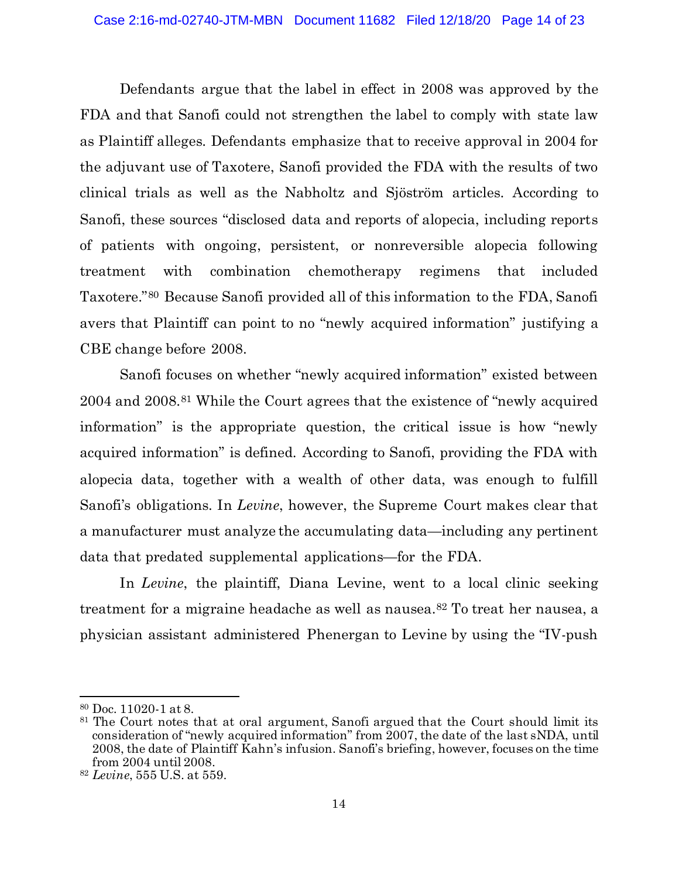Defendants argue that the label in effect in 2008 was approved by the FDA and that Sanofi could not strengthen the label to comply with state law as Plaintiff alleges. Defendants emphasize that to receive approval in 2004 for the adjuvant use of Taxotere, Sanofi provided the FDA with the results of two clinical trials as well as the Nabholtz and Sjöström articles. According to Sanofi, these sources "disclosed data and reports of alopecia, including reports of patients with ongoing, persistent, or nonreversible alopecia following treatment with combination chemotherapy regimens that included Taxotere."80 Because Sanofi provided all of this information to the FDA, Sanofi avers that Plaintiff can point to no "newly acquired information" justifying a CBE change before 2008.

Sanofi focuses on whether "newly acquired information" existed between 2004 and 2008.81 While the Court agrees that the existence of "newly acquired information" is the appropriate question, the critical issue is how "newly acquired information" is defined. According to Sanofi, providing the FDA with alopecia data, together with a wealth of other data, was enough to fulfill Sanofi's obligations. In *Levine*, however, the Supreme Court makes clear that a manufacturer must analyze the accumulating data—including any pertinent data that predated supplemental applications—for the FDA.

In *Levine*, the plaintiff, Diana Levine, went to a local clinic seeking treatment for a migraine headache as well as nausea.82 To treat her nausea, a physician assistant administered Phenergan to Levine by using the "IV-push

<sup>80</sup> Doc. 11020-1 at 8.

<sup>&</sup>lt;sup>81</sup> The Court notes that at oral argument, Sanofi argued that the Court should limit its consideration of "newly acquired information" from 2007, the date of the last sNDA, until 2008, the date of Plaintiff Kahn's infusion. Sanofi's briefing, however, focuses on the time from 2004 until 2008.

<sup>82</sup> *Levine*, 555 U.S. at 559.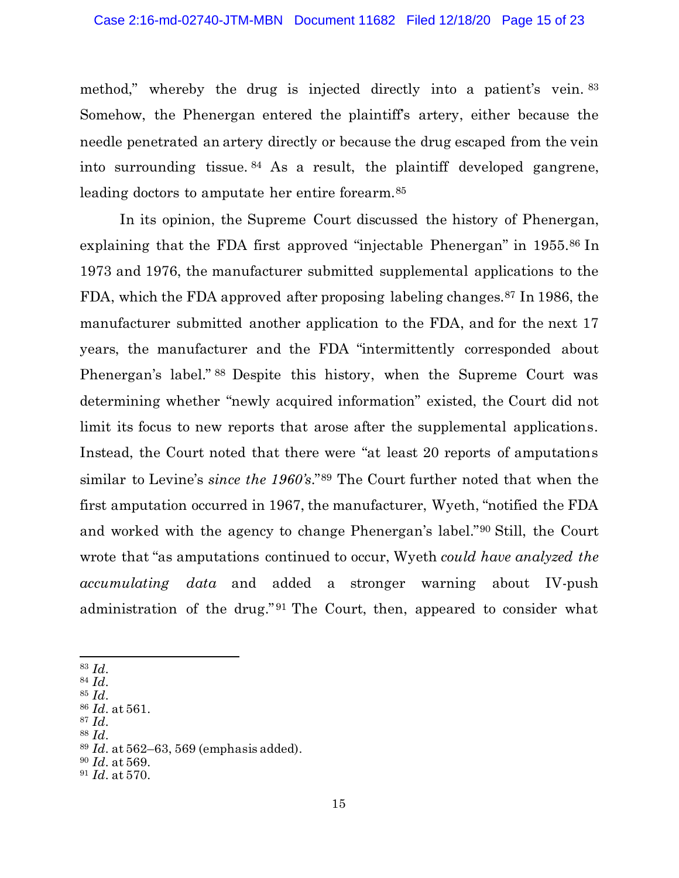method," whereby the drug is injected directly into a patient's vein. <sup>83</sup> Somehow, the Phenergan entered the plaintiff's artery, either because the needle penetrated an artery directly or because the drug escaped from the vein into surrounding tissue. <sup>84</sup> As a result, the plaintiff developed gangrene, leading doctors to amputate her entire forearm.<sup>85</sup>

In its opinion, the Supreme Court discussed the history of Phenergan, explaining that the FDA first approved "injectable Phenergan" in 1955.86 In 1973 and 1976, the manufacturer submitted supplemental applications to the FDA, which the FDA approved after proposing labeling changes.87 In 1986, the manufacturer submitted another application to the FDA, and for the next 17 years, the manufacturer and the FDA "intermittently corresponded about Phenergan's label." <sup>88</sup> Despite this history, when the Supreme Court was determining whether "newly acquired information" existed, the Court did not limit its focus to new reports that arose after the supplemental applications. Instead, the Court noted that there were "at least 20 reports of amputations similar to Levine's *since the 1960's*."89 The Court further noted that when the first amputation occurred in 1967, the manufacturer, Wyeth, "notified the FDA and worked with the agency to change Phenergan's label."90 Still, the Court wrote that "as amputations continued to occur, Wyeth *could have analyzed the accumulating data* and added a stronger warning about IV-push administration of the drug." <sup>91</sup> The Court, then, appeared to consider what

<sup>83</sup> *Id.*

<sup>84</sup> *Id.*

- <sup>87</sup> *Id.*
- <sup>88</sup> *Id.*

<sup>85</sup> *Id.* <sup>86</sup> *Id.* at 561.

<sup>89</sup> *Id.* at 562–63, 569 (emphasis added).

<sup>90</sup> *Id.* at 569.

<sup>91</sup> *Id.* at 570.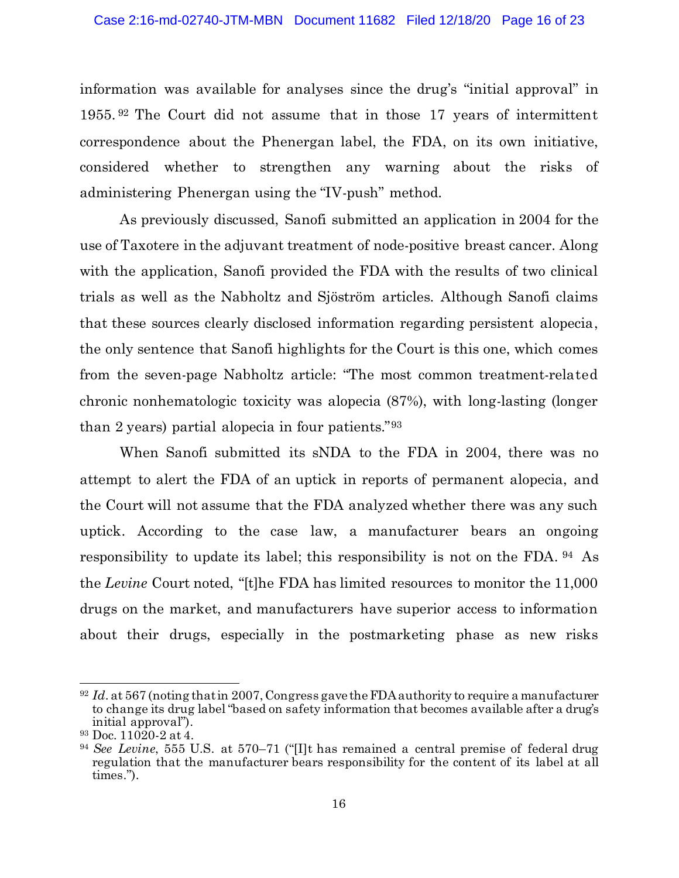information was available for analyses since the drug's "initial approval" in 1955. <sup>92</sup> The Court did not assume that in those 17 years of intermittent correspondence about the Phenergan label, the FDA, on its own initiative, considered whether to strengthen any warning about the risks of administering Phenergan using the "IV-push" method.

As previously discussed, Sanofi submitted an application in 2004 for the use of Taxotere in the adjuvant treatment of node-positive breast cancer. Along with the application, Sanofi provided the FDA with the results of two clinical trials as well as the Nabholtz and Sjöström articles. Although Sanofi claims that these sources clearly disclosed information regarding persistent alopecia, the only sentence that Sanofi highlights for the Court is this one, which comes from the seven-page Nabholtz article: "The most common treatment-related chronic nonhematologic toxicity was alopecia (87%), with long-lasting (longer than 2 years) partial alopecia in four patients."93

When Sanofi submitted its sNDA to the FDA in 2004, there was no attempt to alert the FDA of an uptick in reports of permanent alopecia, and the Court will not assume that the FDA analyzed whether there was any such uptick. According to the case law, a manufacturer bears an ongoing responsibility to update its label; this responsibility is not on the FDA. <sup>94</sup> As the *Levine* Court noted, "[t]he FDA has limited resources to monitor the 11,000 drugs on the market, and manufacturers have superior access to information about their drugs, especially in the postmarketing phase as new risks

 $92$  *Id.* at 567 (noting that in 2007, Congress gave the FDA authority to require a manufacturer to change its drug label "based on safety information that becomes available after a drug's initial approval").

<sup>93</sup> Doc. 11020-2 at 4.

<sup>94</sup> *See Levine*, 555 U.S. at 570–71 ("[I]t has remained a central premise of federal drug regulation that the manufacturer bears responsibility for the content of its label at all times.").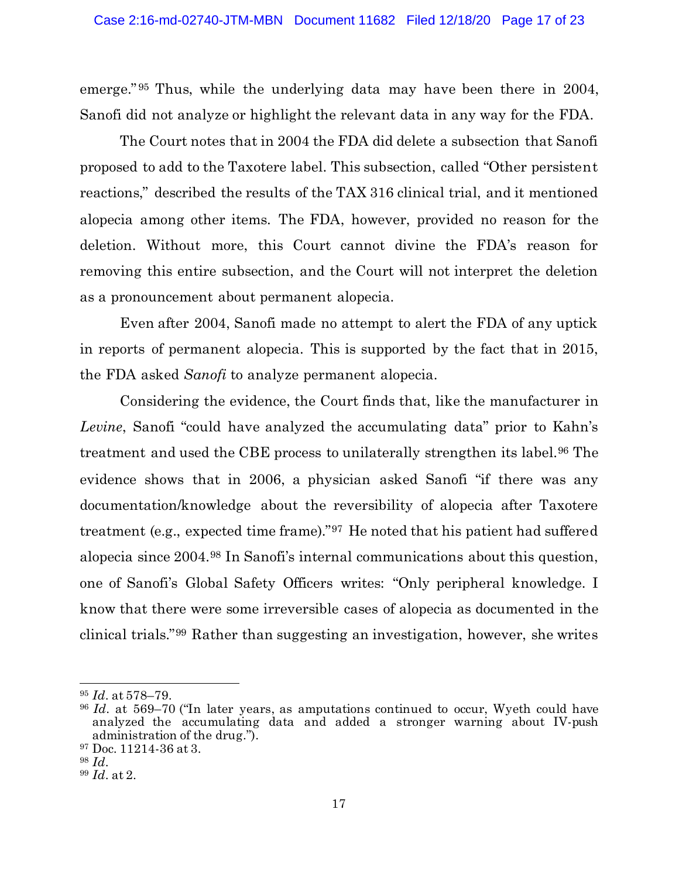emerge." <sup>95</sup> Thus, while the underlying data may have been there in 2004, Sanofi did not analyze or highlight the relevant data in any way for the FDA.

The Court notes that in 2004 the FDA did delete a subsection that Sanofi proposed to add to the Taxotere label. This subsection, called "Other persistent reactions," described the results of the TAX 316 clinical trial, and it mentioned alopecia among other items. The FDA, however, provided no reason for the deletion. Without more, this Court cannot divine the FDA's reason for removing this entire subsection, and the Court will not interpret the deletion as a pronouncement about permanent alopecia.

Even after 2004, Sanofi made no attempt to alert the FDA of any uptick in reports of permanent alopecia. This is supported by the fact that in 2015, the FDA asked *Sanofi* to analyze permanent alopecia.

Considering the evidence, the Court finds that, like the manufacturer in *Levine*, Sanofi "could have analyzed the accumulating data" prior to Kahn's treatment and used the CBE process to unilaterally strengthen its label.96 The evidence shows that in 2006, a physician asked Sanofi "if there was any documentation/knowledge about the reversibility of alopecia after Taxotere treatment (e.g., expected time frame)."97 He noted that his patient had suffered alopecia since 2004.98 In Sanofi's internal communications about this question, one of Sanofi's Global Safety Officers writes: "Only peripheral knowledge. I know that there were some irreversible cases of alopecia as documented in the clinical trials."99 Rather than suggesting an investigation, however, she writes

<sup>95</sup> *Id.* at 578–79.

<sup>96</sup> *Id.* at 569–70 ("In later years, as amputations continued to occur, Wyeth could have analyzed the accumulating data and added a stronger warning about IV-push administration of the drug.").

<sup>97</sup> Doc. 11214-36 at 3.

<sup>98</sup> *Id.*

<sup>99</sup> *Id.* at 2.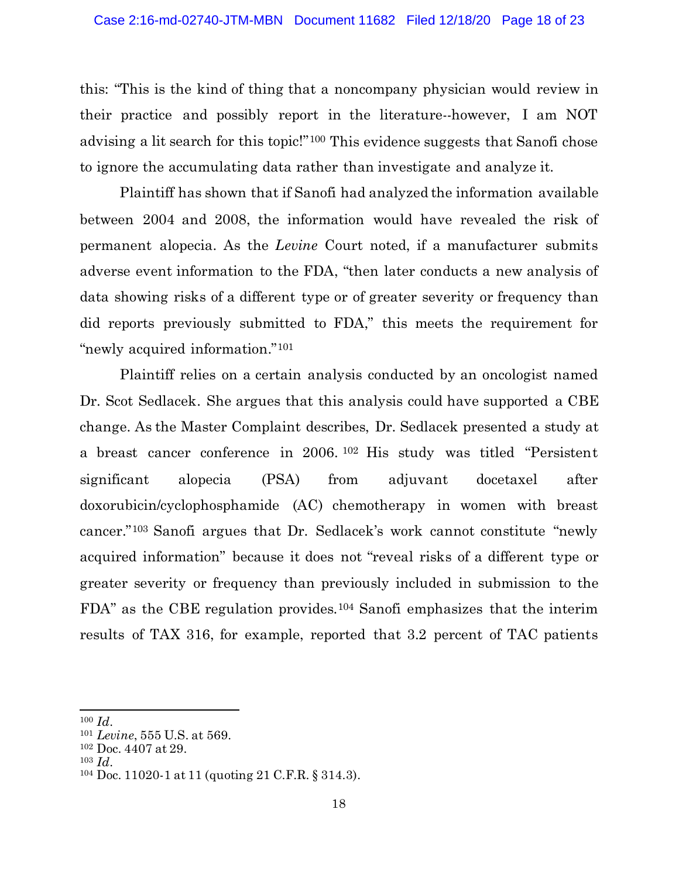this: "This is the kind of thing that a noncompany physician would review in their practice and possibly report in the literature--however, I am NOT advising a lit search for this topic!"100 This evidence suggests that Sanofi chose to ignore the accumulating data rather than investigate and analyze it.

Plaintiff has shown that if Sanofi had analyzed the information available between 2004 and 2008, the information would have revealed the risk of permanent alopecia. As the *Levine* Court noted, if a manufacturer submits adverse event information to the FDA, "then later conducts a new analysis of data showing risks of a different type or of greater severity or frequency than did reports previously submitted to FDA," this meets the requirement for "newly acquired information."101

Plaintiff relies on a certain analysis conducted by an oncologist named Dr. Scot Sedlacek. She argues that this analysis could have supported a CBE change. As the Master Complaint describes, Dr. Sedlacek presented a study at a breast cancer conference in 2006. <sup>102</sup> His study was titled "Persistent significant alopecia (PSA) from adjuvant docetaxel after doxorubicin/cyclophosphamide (AC) chemotherapy in women with breast cancer."103 Sanofi argues that Dr. Sedlacek's work cannot constitute "newly acquired information" because it does not "reveal risks of a different type or greater severity or frequency than previously included in submission to the FDA" as the CBE regulation provides.104 Sanofi emphasizes that the interim results of TAX 316, for example, reported that 3.2 percent of TAC patients

<sup>100</sup> *Id.*

<sup>101</sup> *Levine*, 555 U.S. at 569.

<sup>102</sup> Doc. 4407 at 29.

<sup>103</sup> *Id.*

<sup>104</sup> Doc. 11020-1 at 11 (quoting 21 C.F.R. § 314.3).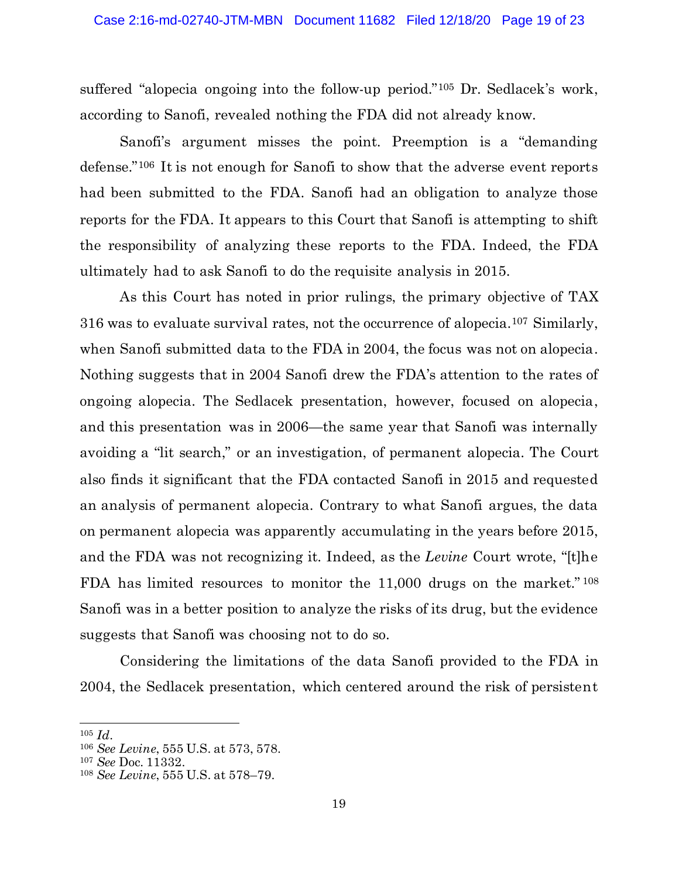suffered "alopecia ongoing into the follow-up period."105 Dr. Sedlacek's work, according to Sanofi, revealed nothing the FDA did not already know.

Sanofi's argument misses the point. Preemption is a "demanding defense."106 It is not enough for Sanofi to show that the adverse event reports had been submitted to the FDA. Sanofi had an obligation to analyze those reports for the FDA. It appears to this Court that Sanofi is attempting to shift the responsibility of analyzing these reports to the FDA. Indeed, the FDA ultimately had to ask Sanofi to do the requisite analysis in 2015.

As this Court has noted in prior rulings, the primary objective of TAX 316 was to evaluate survival rates, not the occurrence of alopecia.107 Similarly, when Sanofi submitted data to the FDA in 2004, the focus was not on alopecia. Nothing suggests that in 2004 Sanofi drew the FDA's attention to the rates of ongoing alopecia. The Sedlacek presentation, however, focused on alopecia, and this presentation was in 2006—the same year that Sanofi was internally avoiding a "lit search," or an investigation, of permanent alopecia. The Court also finds it significant that the FDA contacted Sanofi in 2015 and requested an analysis of permanent alopecia. Contrary to what Sanofi argues, the data on permanent alopecia was apparently accumulating in the years before 2015, and the FDA was not recognizing it. Indeed, as the *Levine* Court wrote, "[t]he FDA has limited resources to monitor the 11,000 drugs on the market." <sup>108</sup> Sanofi was in a better position to analyze the risks of its drug, but the evidence suggests that Sanofi was choosing not to do so.

Considering the limitations of the data Sanofi provided to the FDA in 2004, the Sedlacek presentation, which centered around the risk of persistent

<sup>105</sup> *Id.*

<sup>106</sup> *See Levine*, 555 U.S. at 573, 578.

<sup>107</sup> *See* Doc. 11332.

<sup>108</sup> *See Levine*, 555 U.S. at 578–79.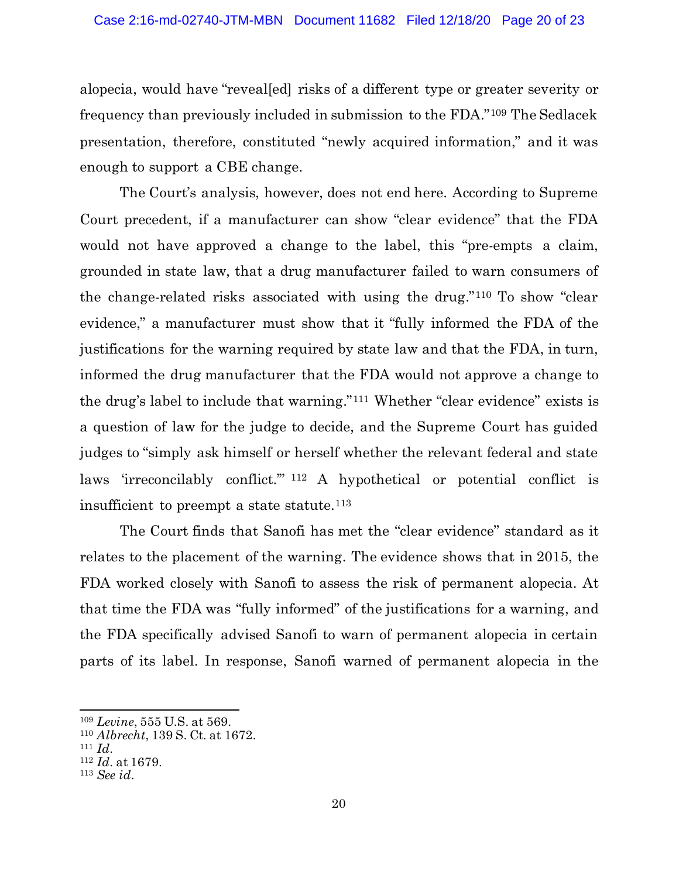alopecia, would have "reveal[ed] risks of a different type or greater severity or frequency than previously included in submission to the FDA."109 The Sedlacek presentation, therefore, constituted "newly acquired information," and it was enough to support a CBE change.

The Court's analysis, however, does not end here. According to Supreme Court precedent, if a manufacturer can show "clear evidence" that the FDA would not have approved a change to the label, this "pre-empts a claim, grounded in state law, that a drug manufacturer failed to warn consumers of the change-related risks associated with using the drug."110 To show "clear evidence," a manufacturer must show that it "fully informed the FDA of the justifications for the warning required by state law and that the FDA, in turn, informed the drug manufacturer that the FDA would not approve a change to the drug's label to include that warning."111 Whether "clear evidence" exists is a question of law for the judge to decide, and the Supreme Court has guided judges to "simply ask himself or herself whether the relevant federal and state laws 'irreconcilably conflict.'" <sup>112</sup> A hypothetical or potential conflict is insufficient to preempt a state statute. $113$ 

The Court finds that Sanofi has met the "clear evidence" standard as it relates to the placement of the warning. The evidence shows that in 2015, the FDA worked closely with Sanofi to assess the risk of permanent alopecia. At that time the FDA was "fully informed" of the justifications for a warning, and the FDA specifically advised Sanofi to warn of permanent alopecia in certain parts of its label. In response, Sanofi warned of permanent alopecia in the

<sup>109</sup> *Levine*, 555 U.S. at 569.

<sup>110</sup> *Albrecht*, 139 S. Ct. at 1672.

<sup>111</sup> *Id.*

<sup>112</sup> *Id.* at 1679.

<sup>113</sup> *See id.*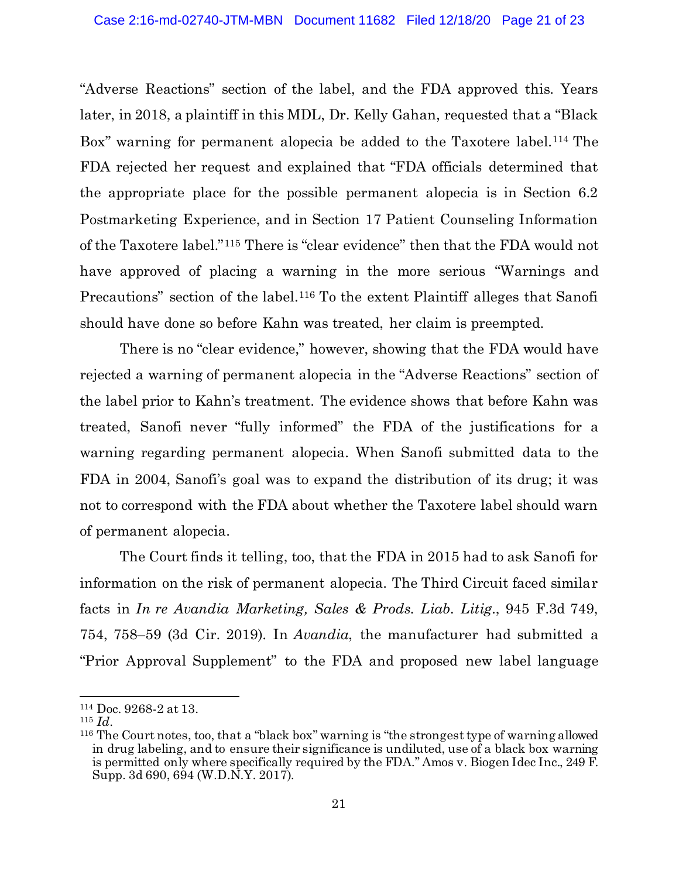"Adverse Reactions" section of the label, and the FDA approved this. Years later, in 2018, a plaintiff in this MDL, Dr. Kelly Gahan, requested that a "Black Box" warning for permanent alopecia be added to the Taxotere label.<sup>114</sup> The FDA rejected her request and explained that "FDA officials determined that the appropriate place for the possible permanent alopecia is in Section 6.2 Postmarketing Experience, and in Section 17 Patient Counseling Information of the Taxotere label."115 There is "clear evidence" then that the FDA would not have approved of placing a warning in the more serious "Warnings and Precautions" section of the label.<sup>116</sup> To the extent Plaintiff alleges that Sanofi should have done so before Kahn was treated, her claim is preempted.

There is no "clear evidence," however, showing that the FDA would have rejected a warning of permanent alopecia in the "Adverse Reactions" section of the label prior to Kahn's treatment. The evidence shows that before Kahn was treated, Sanofi never "fully informed" the FDA of the justifications for a warning regarding permanent alopecia. When Sanofi submitted data to the FDA in 2004, Sanofi's goal was to expand the distribution of its drug; it was not to correspond with the FDA about whether the Taxotere label should warn of permanent alopecia.

The Court finds it telling, too, that the FDA in 2015 had to ask Sanofi for information on the risk of permanent alopecia. The Third Circuit faced similar facts in *In re Avandia Marketing, Sales & Prods. Liab. Litig.*, 945 F.3d 749, 754, 758–59 (3d Cir. 2019). In *Avandia*, the manufacturer had submitted a "Prior Approval Supplement" to the FDA and proposed new label language

<sup>114</sup> Doc. 9268-2 at 13.

<sup>115</sup> *Id.*

<sup>116</sup> The Court notes, too, that a "black box" warning is "the strongest type of warning allowed in drug labeling, and to ensure their significance is undiluted, use of a black box warning is permitted only where specifically required by the FDA." Amos v. Biogen Idec Inc., 249 F. Supp. 3d 690, 694 (W.D.N.Y. 2017).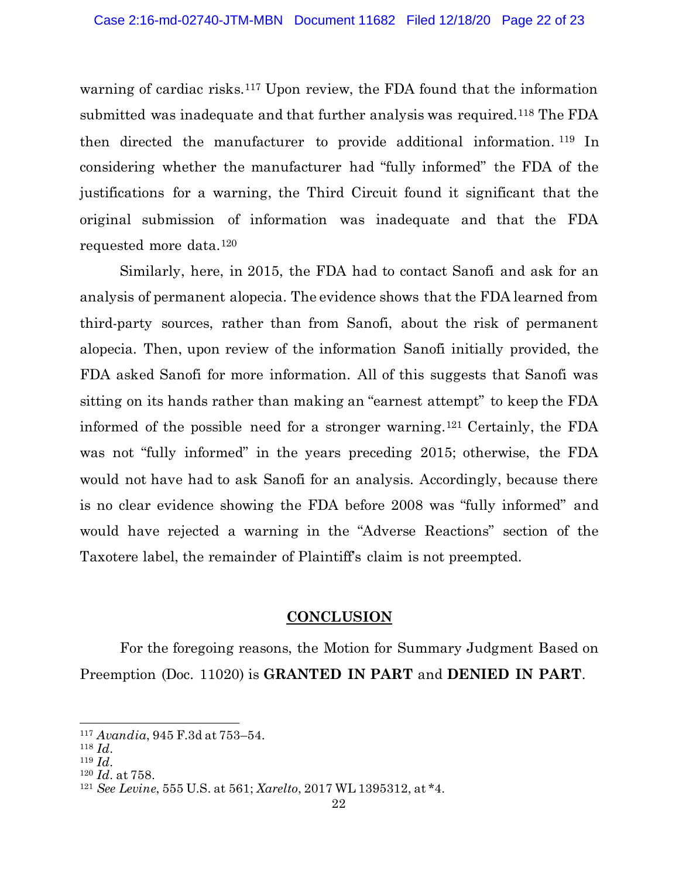warning of cardiac risks.<sup>117</sup> Upon review, the FDA found that the information submitted was inadequate and that further analysis was required.118 The FDA then directed the manufacturer to provide additional information. <sup>119</sup> In considering whether the manufacturer had "fully informed" the FDA of the justifications for a warning, the Third Circuit found it significant that the original submission of information was inadequate and that the FDA requested more data.120

Similarly, here, in 2015, the FDA had to contact Sanofi and ask for an analysis of permanent alopecia. The evidence shows that the FDA learned from third-party sources, rather than from Sanofi, about the risk of permanent alopecia. Then, upon review of the information Sanofi initially provided, the FDA asked Sanofi for more information. All of this suggests that Sanofi was sitting on its hands rather than making an "earnest attempt" to keep the FDA informed of the possible need for a stronger warning.121 Certainly, the FDA was not "fully informed" in the years preceding 2015; otherwise, the FDA would not have had to ask Sanofi for an analysis. Accordingly, because there is no clear evidence showing the FDA before 2008 was "fully informed" and would have rejected a warning in the "Adverse Reactions" section of the Taxotere label, the remainder of Plaintiff's claim is not preempted.

# **CONCLUSION**

For the foregoing reasons, the Motion for Summary Judgment Based on Preemption (Doc. 11020) is **GRANTED IN PART** and **DENIED IN PART**.

<sup>117</sup> *Avandia*, 945 F.3d at 753–54.

<sup>118</sup> *Id.*

<sup>119</sup> *Id.*

<sup>120</sup> *Id.* at 758.

<sup>121</sup> *See Levine*, 555 U.S. at 561; *Xarelto*, 2017 WL 1395312, at \*4.